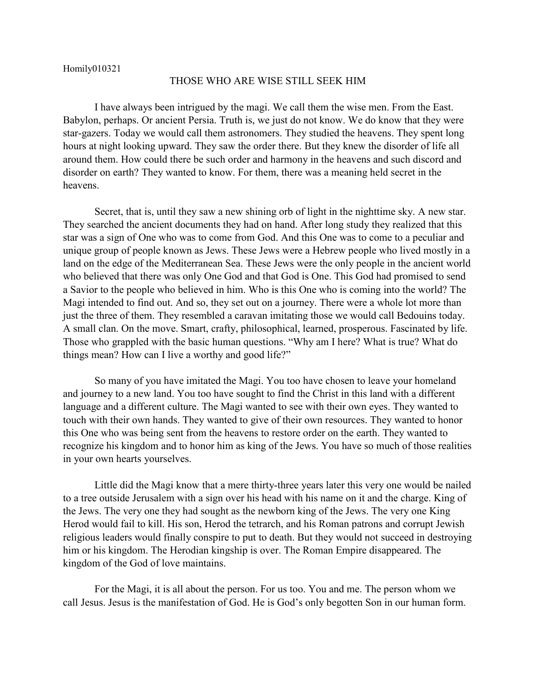## THOSE WHO ARE WISE STILL SEEK HIM

I have always been intrigued by the magi. We call them the wise men. From the East. Babylon, perhaps. Or ancient Persia. Truth is, we just do not know. We do know that they were star-gazers. Today we would call them astronomers. They studied the heavens. They spent long hours at night looking upward. They saw the order there. But they knew the disorder of life all around them. How could there be such order and harmony in the heavens and such discord and disorder on earth? They wanted to know. For them, there was a meaning held secret in the heavens.

Secret, that is, until they saw a new shining orb of light in the nighttime sky. A new star. They searched the ancient documents they had on hand. After long study they realized that this star was a sign of One who was to come from God. And this One was to come to a peculiar and unique group of people known as Jews. These Jews were a Hebrew people who lived mostly in a land on the edge of the Mediterranean Sea. These Jews were the only people in the ancient world who believed that there was only One God and that God is One. This God had promised to send a Savior to the people who believed in him. Who is this One who is coming into the world? The Magi intended to find out. And so, they set out on a journey. There were a whole lot more than just the three of them. They resembled a caravan imitating those we would call Bedouins today. A small clan. On the move. Smart, crafty, philosophical, learned, prosperous. Fascinated by life. Those who grappled with the basic human questions. "Why am I here? What is true? What do things mean? How can I live a worthy and good life?"

So many of you have imitated the Magi. You too have chosen to leave your homeland and journey to a new land. You too have sought to find the Christ in this land with a different language and a different culture. The Magi wanted to see with their own eyes. They wanted to touch with their own hands. They wanted to give of their own resources. They wanted to honor this One who was being sent from the heavens to restore order on the earth. They wanted to recognize his kingdom and to honor him as king of the Jews. You have so much of those realities in your own hearts yourselves.

Little did the Magi know that a mere thirty-three years later this very one would be nailed to a tree outside Jerusalem with a sign over his head with his name on it and the charge. King of the Jews. The very one they had sought as the newborn king of the Jews. The very one King Herod would fail to kill. His son, Herod the tetrarch, and his Roman patrons and corrupt Jewish religious leaders would finally conspire to put to death. But they would not succeed in destroying him or his kingdom. The Herodian kingship is over. The Roman Empire disappeared. The kingdom of the God of love maintains.

For the Magi, it is all about the person. For us too. You and me. The person whom we call Jesus. Jesus is the manifestation of God. He is God's only begotten Son in our human form.